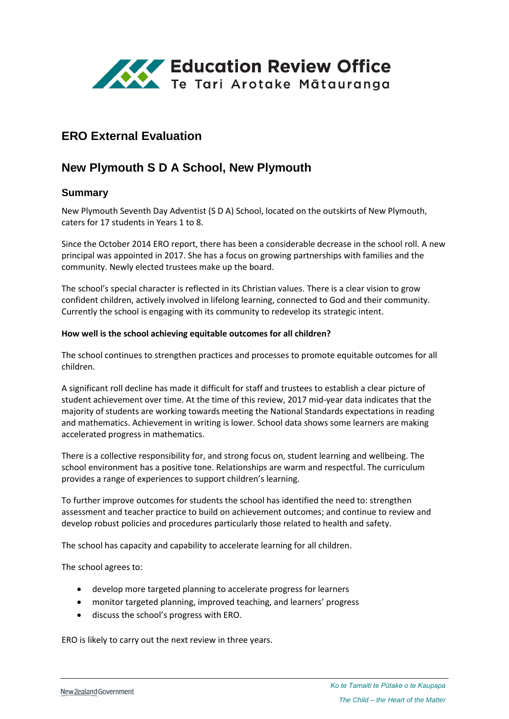

# **ERO External Evaluation**

# **New Plymouth S D A School, New Plymouth**

### **Summary**

New Plymouth Seventh Day Adventist (S D A) School, located on the outskirts of New Plymouth, caters for 17 students in Years 1 to 8.

Since the October 2014 ERO report, there has been a considerable decrease in the school roll. A new principal was appointed in 2017. She has a focus on growing partnerships with families and the community. Newly elected trustees make up the board.

The school's special character is reflected in its Christian values. There is a clear vision to grow confident children, actively involved in lifelong learning, connected to God and their community. Currently the school is engaging with its community to redevelop its strategic intent.

#### **How well is the school achieving equitable outcomes for all children?**

The school continues to strengthen practices and processes to promote equitable outcomes for all children.

A significant roll decline has made it difficult for staff and trustees to establish a clear picture of student achievement over time. At the time of this review, 2017 mid-year data indicates that the majority of students are working towards meeting the National Standards expectations in reading and mathematics. Achievement in writing is lower. School data shows some learners are making accelerated progress in mathematics.

There is a collective responsibility for, and strong focus on, student learning and wellbeing. The school environment has a positive tone. Relationships are warm and respectful. The curriculum provides a range of experiences to support children's learning.

To further improve outcomes for students the school has identified the need to: strengthen assessment and teacher practice to build on achievement outcomes; and continue to review and develop robust policies and procedures particularly those related to health and safety.

The school has capacity and capability to accelerate learning for all children.

The school agrees to:

- develop more targeted planning to accelerate progress for learners
- monitor targeted planning, improved teaching, and learners' progress
- discuss the school's progress with ERO.

ERO is likely to carry out the next review in three years.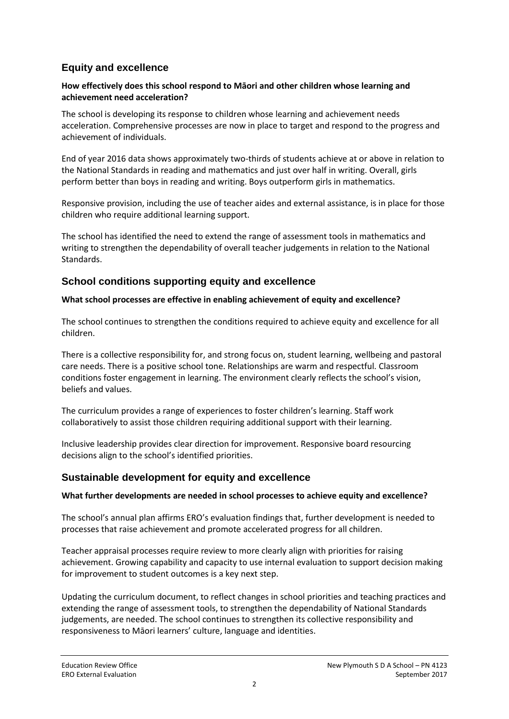# **Equity and excellence**

#### **How effectively does this school respond to Māori and other children whose learning and achievement need acceleration?**

The school is developing its response to children whose learning and achievement needs acceleration. Comprehensive processes are now in place to target and respond to the progress and achievement of individuals.

End of year 2016 data shows approximately two-thirds of students achieve at or above in relation to the National Standards in reading and mathematics and just over half in writing. Overall, girls perform better than boys in reading and writing. Boys outperform girls in mathematics.

Responsive provision, including the use of teacher aides and external assistance, is in place for those children who require additional learning support.

The school has identified the need to extend the range of assessment tools in mathematics and writing to strengthen the dependability of overall teacher judgements in relation to the National Standards.

### **School conditions supporting equity and excellence**

### **What school processes are effective in enabling achievement of equity and excellence?**

The school continues to strengthen the conditions required to achieve equity and excellence for all children.

There is a collective responsibility for, and strong focus on, student learning, wellbeing and pastoral care needs. There is a positive school tone. Relationships are warm and respectful. Classroom conditions foster engagement in learning. The environment clearly reflects the school's vision, beliefs and values.

The curriculum provides a range of experiences to foster children's learning. Staff work collaboratively to assist those children requiring additional support with their learning.

Inclusive leadership provides clear direction for improvement. Responsive board resourcing decisions align to the school's identified priorities.

### **Sustainable development for equity and excellence**

### **What further developments are needed in school processes to achieve equity and excellence?**

The school's annual plan affirms ERO's evaluation findings that, further development is needed to processes that raise achievement and promote accelerated progress for all children.

Teacher appraisal processes require review to more clearly align with priorities for raising achievement. Growing capability and capacity to use internal evaluation to support decision making for improvement to student outcomes is a key next step.

Updating the curriculum document, to reflect changes in school priorities and teaching practices and extending the range of assessment tools, to strengthen the dependability of National Standards judgements, are needed. The school continues to strengthen its collective responsibility and responsiveness to Māori learners' culture, language and identities.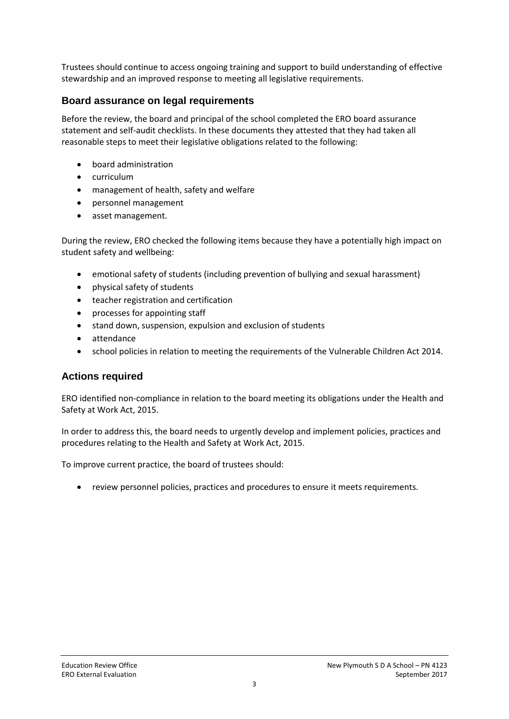Trustees should continue to access ongoing training and support to build understanding of effective stewardship and an improved response to meeting all legislative requirements.

## **Board assurance on legal requirements**

Before the review, the board and principal of the school completed the ERO board assurance statement and self-audit checklists. In these documents they attested that they had taken all reasonable steps to meet their legislative obligations related to the following:

- board administration
- curriculum
- management of health, safety and welfare
- personnel management
- asset management.

During the review, ERO checked the following items because they have a potentially high impact on student safety and wellbeing:

- emotional safety of students (including prevention of bullying and sexual harassment)
- physical safety of students
- teacher registration and certification
- processes for appointing staff
- stand down, suspension, expulsion and exclusion of students
- attendance
- school policies in relation to meeting the requirements of the Vulnerable Children Act 2014.

### **Actions required**

ERO identified non-compliance in relation to the board meeting its obligations under the Health and Safety at Work Act, 2015.

In order to address this, the board needs to urgently develop and implement policies, practices and procedures relating to the Health and Safety at Work Act, 2015.

To improve current practice, the board of trustees should:

review personnel policies, practices and procedures to ensure it meets requirements.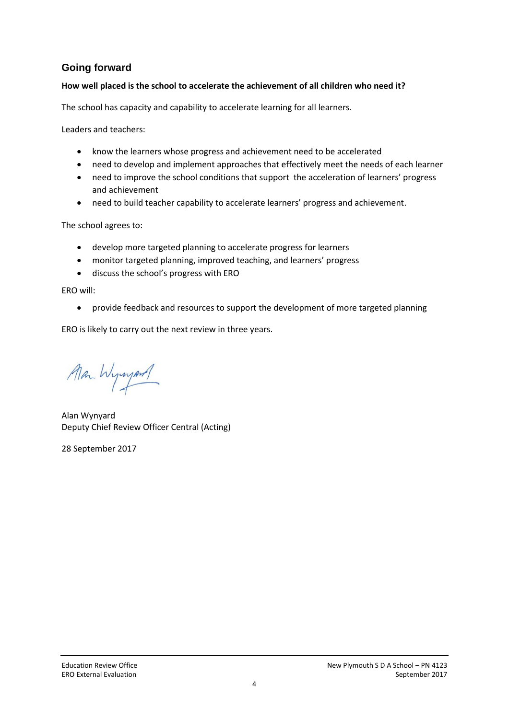# **Going forward**

### **How well placed is the school to accelerate the achievement of all children who need it?**

The school has capacity and capability to accelerate learning for all learners.

Leaders and teachers:

- know the learners whose progress and achievement need to be accelerated
- need to develop and implement approaches that effectively meet the needs of each learner
- need to improve the school conditions that support the acceleration of learners' progress and achievement
- need to build teacher capability to accelerate learners' progress and achievement.

The school agrees to:

- develop more targeted planning to accelerate progress for learners
- monitor targeted planning, improved teaching, and learners' progress
- discuss the school's progress with ERO

ERO will:

provide feedback and resources to support the development of more targeted planning

ERO is likely to carry out the next review in three years.

Man Wyward

Alan Wynyard Deputy Chief Review Officer Central (Acting)

28 September 2017